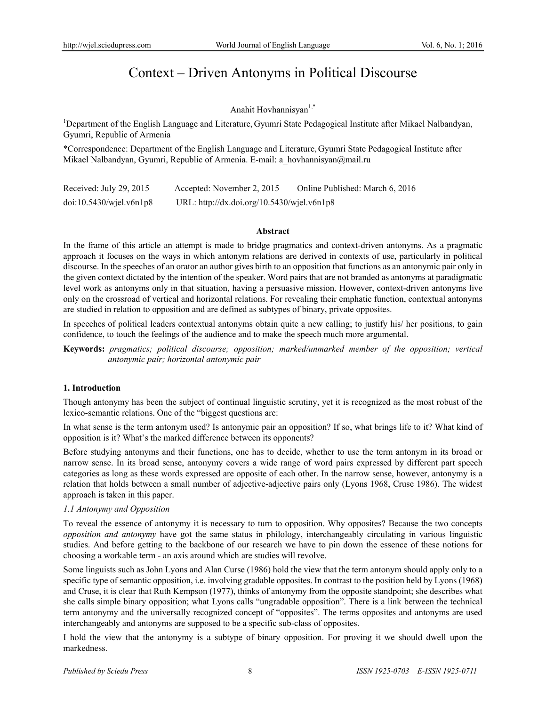# Context – Driven Antonyms in Political Discourse

## Anahit Hovhannisyan<sup>1,\*</sup>

<sup>1</sup>Department of the English Language and Literature, Gyumri State Pedagogical Institute after Mikael Nalbandyan, Gyumri, Republic of Armenia

\*Correspondence: Department of the English Language and Literature, Gyumri State Pedagogical Institute after Mikael Nalbandyan, Gyumri, Republic of Armenia. E-mail: a\_hovhannisyan@mail.ru

| Received: July 29, 2015    | Accepted: November 2, 2015                 | Online Published: March 6, 2016 |
|----------------------------|--------------------------------------------|---------------------------------|
| $doi:10.5430/w$ jel.v6n1p8 | URL: http://dx.doi.org/10.5430/wjel.v6n1p8 |                                 |

#### **Abstract**

In the frame of this article an attempt is made to bridge pragmatics and context-driven antonyms. As a pragmatic approach it focuses on the ways in which antonym relations are derived in contexts of use, particularly in political discourse. In the speeches of an orator an author gives birth to an opposition that functions as an antonymic pair only in the given context dictated by the intention of the speaker. Word pairs that are not branded as antonyms at paradigmatic level work as antonyms only in that situation, having a persuasive mission. However, context-driven antonyms live only on the crossroad of vertical and horizontal relations. For revealing their emphatic function, contextual antonyms are studied in relation to opposition and are defined as subtypes of binary, private opposites.

In speeches of political leaders contextual antonyms obtain quite a new calling; to justify his/ her positions, to gain confidence, to touch the feelings of the audience and to make the speech much more argumental.

**Keywords:** *pragmatics; political discourse; opposition; marked/unmarked member of the opposition; vertical antonymic pair; horizontal antonymic pair*

## **1. Introduction**

Though antonymy has been the subject of continual linguistic scrutiny, yet it is recognized as the most robust of the lexico-semantic relations. One of the "biggest questions are:

In what sense is the term antonym used? Is antonymic pair an opposition? If so, what brings life to it? What kind of opposition is it? What's the marked difference between its opponents?

Before studying antonyms and their functions, one has to decide, whether to use the term antonym in its broad or narrow sense. In its broad sense, antonymy covers a wide range of word pairs expressed by different part speech categories as long as these words expressed are opposite of each other. In the narrow sense, however, antonymy is a relation that holds between a small number of adjective-adjective pairs only (Lyons 1968, Cruse 1986). The widest approach is taken in this paper.

#### *1.1 Antonymy and Opposition*

To reveal the essence of antonymy it is necessary to turn to opposition. Why opposites? Because the two concepts *opposition and antonymy* have got the same status in philology, interchangeably circulating in various linguistic studies. And before getting to the backbone of our research we have to pin down the essence of these notions for choosing a workable term - an axis around which are studies will revolve.

Some linguists such as John Lyons and Alan Curse (1986) hold the view that the term antonym should apply only to a specific type of semantic opposition, i.e. involving gradable opposites. In contrast to the position held by Lyons (1968) and Cruse, it is clear that Ruth Kempson (1977), thinks of antonymy from the opposite standpoint; she describes what she calls simple binary opposition; what Lyons calls "ungradable opposition". There is a link between the technical term antonymy and the universally recognized concept of "opposites". The terms opposites and antonyms are used interchangeably and antonyms are supposed to be a specific sub-class of opposites.

I hold the view that the antonymy is a subtype of binary opposition. For proving it we should dwell upon the markedness.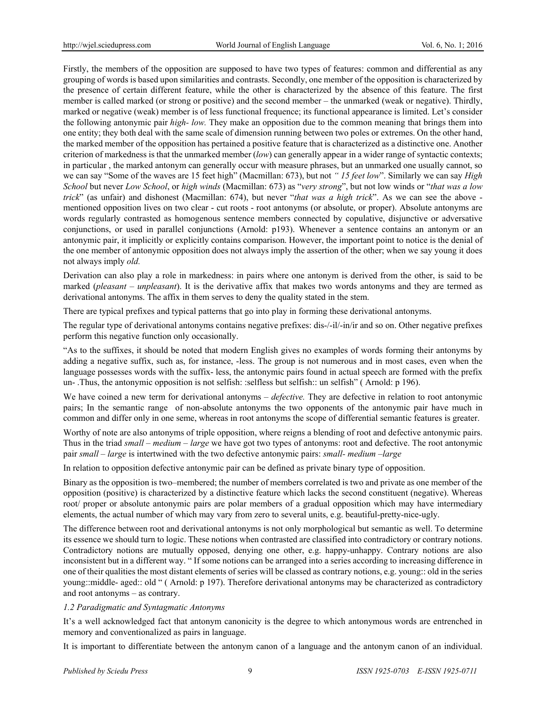Firstly, the members of the opposition are supposed to have two types of features: common and differential as any grouping of words is based upon similarities and contrasts. Secondly, one member of the opposition is characterized by the presence of certain different feature, while the other is characterized by the absence of this feature. The first member is called marked (or strong or positive) and the second member – the unmarked (weak or negative). Thirdly, marked or negative (weak) member is of less functional frequence; its functional appearance is limited. Let's consider the following antonymic pair *high- low.* They make an opposition due to the common meaning that brings them into one entity; they both deal with the same scale of dimension running between two poles or extremes. On the other hand, the marked member of the opposition has pertained a positive feature that is characterized as a distinctive one. Another criterion of markedness is that the unmarked member (*low*) can generally appear in a wider range of syntactic contexts; in particular , the marked antonym can generally occur with measure phrases, but an unmarked one usually cannot, so we can say "Some of the waves are 15 feet high" (Macmillan: 673), but not *" 15 feet low*". Similarly we can say *High School* but never *Low School*, or *high winds* (Macmillan: 673) as "*very strong*", but not low winds or "*that was a low trick*" (as unfair) and dishonest (Macmillan: 674), but never "*that was a high trick*". As we can see the above mentioned opposition lives on two clear - cut roots - root antonyms (or absolute, or proper). Absolute antonyms are words regularly contrasted as homogenous sentence members connected by copulative, disjunctive or adversative conjunctions, or used in parallel conjunctions (Arnold: p193). Whenever a sentence contains an antonym or an antonymic pair, it implicitly or explicitly contains comparison. However, the important point to notice is the denial of the one member of antonymic opposition does not always imply the assertion of the other; when we say young it does not always imply *old.* 

Derivation can also play a role in markedness: in pairs where one antonym is derived from the other, is said to be marked (*pleasant – unpleasant*). It is the derivative affix that makes two words antonyms and they are termed as derivational antonyms. The affix in them serves to deny the quality stated in the stem.

There are typical prefixes and typical patterns that go into play in forming these derivational antonyms.

The regular type of derivational antonyms contains negative prefixes: dis-/-il/-in/ir and so on. Other negative prefixes perform this negative function only occasionally.

"As to the suffixes, it should be noted that modern English gives no examples of words forming their antonyms by adding a negative suffix, such as, for instance, -less. The group is not numerous and in most cases, even when the language possesses words with the suffix- less, the antonymic pairs found in actual speech are formed with the prefix un- .Thus, the antonymic opposition is not selfish: :selfless but selfish:: un selfish" (Arnold: p 196).

We have coined a new term for derivational antonyms – *defective*. They are defective in relation to root antonymic pairs; In the semantic range of non-absolute antonyms the two opponents of the antonymic pair have much in common and differ only in one seme, whereas in root antonyms the scope of differential semantic features is greater.

Worthy of note are also antonyms of triple opposition, where reigns a blending of root and defective antonymic pairs. Thus in the triad *small – medium – large* we have got two types of antonyms: root and defective. The root antonymic pair *small – large* is intertwined with the two defective antonymic pairs: *small- medium –large*

In relation to opposition defective antonymic pair can be defined as private binary type of opposition.

Binary as the opposition is two–membered; the number of members correlated is two and private as one member of the opposition (positive) is characterized by a distinctive feature which lacks the second constituent (negative). Whereas root/ proper or absolute antonymic pairs are polar members of a gradual opposition which may have intermediary elements, the actual number of which may vary from zero to several units, e.g. beautiful-pretty-nice-ugly.

The difference between root and derivational antonyms is not only morphological but semantic as well. To determine its essence we should turn to logic. These notions when contrasted are classified into contradictory or contrary notions. Contradictory notions are mutually opposed, denying one other, e.g. happy-unhappy. Contrary notions are also inconsistent but in a different way. " If some notions can be arranged into a series according to increasing difference in one of their qualities the most distant elements of series will be classed as contrary notions, e.g. young:: old in the series young::middle- aged:: old " ( Arnold: p 197). Therefore derivational antonyms may be characterized as contradictory and root antonyms – as contrary.

## *1.2 Paradigmatic and Syntagmatic Antonyms*

It's a well acknowledged fact that antonym canonicity is the degree to which antonymous words are entrenched in memory and conventionalized as pairs in language.

It is important to differentiate between the antonym canon of a language and the antonym canon of an individual.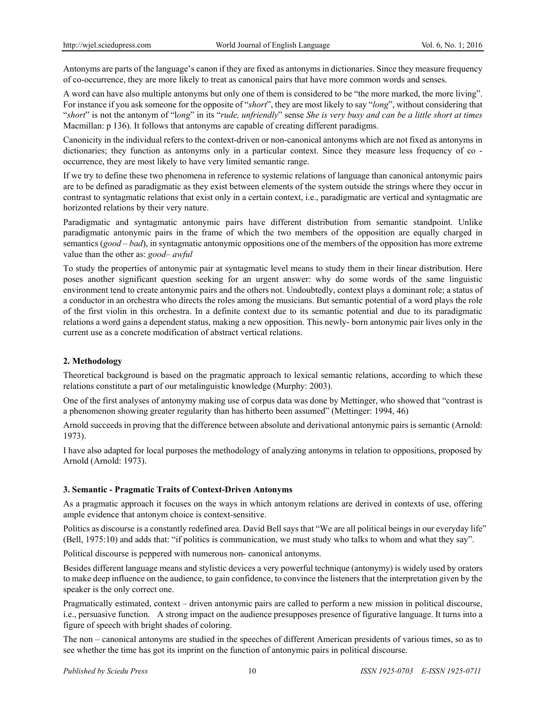Antonyms are parts of the language's canon if they are fixed as antonyms in dictionaries. Since they measure frequency of co-occurrence, they are more likely to treat as canonical pairs that have more common words and senses.

A word can have also multiple antonyms but only one of them is considered to be "the more marked, the more living". For instance if you ask someone for the opposite of "*short*", they are most likely to say "*long*", without considering that "*short*" is not the antonym of "l*ong*" in its "*rude, unfriendly*" sense *She is very busy and can be a little short at times*  Macmillan: p 136). It follows that antonyms are capable of creating different paradigms.

Canonicity in the individual refers to the context-driven or non-canonical antonyms which are not fixed as antonyms in dictionaries; they function as antonyms only in a particular context. Since they measure less frequency of co occurrence, they are most likely to have very limited semantic range.

If we try to define these two phenomena in reference to systemic relations of language than canonical antonymic pairs are to be defined as paradigmatic as they exist between elements of the system outside the strings where they occur in contrast to syntagmatic relations that exist only in a certain context, i.e., paradigmatic are vertical and syntagmatic are horizonted relations by their very nature.

Paradigmatic and syntagmatic antonymic pairs have different distribution from semantic standpoint. Unlike paradigmatic antonymic pairs in the frame of which the two members of the opposition are equally charged in semantics (*good – bad*), in syntagmatic antonymic oppositions one of the members of the opposition has more extreme value than the other as: *good– awful*

To study the properties of antonymic pair at syntagmatic level means to study them in their linear distribution. Here poses another significant question seeking for an urgent answer: why do some words of the same linguistic environment tend to create antonymic pairs and the others not. Undoubtedly, context plays a dominant role; a status of a conductor in an orchestra who directs the roles among the musicians. But semantic potential of a word plays the role of the first violin in this orchestra. In a definite context due to its semantic potential and due to its paradigmatic relations a word gains a dependent status, making a new opposition. This newly- born antonymic pair lives only in the current use as a concrete modification of abstract vertical relations.

## **2. Methodology**

Theoretical background is based on the pragmatic approach to lexical semantic relations, according to which these relations constitute a part of our metalinguistic knowledge (Murphy: 2003).

One of the first analyses of antonymy making use of corpus data was done by Mettinger, who showed that "contrast is a phenomenon showing greater regularity than has hitherto been assumed" (Mettinger: 1994, 46)

Arnold succeeds in proving that the difference between absolute and derivational antonymic pairs is semantic (Arnold: 1973).

I have also adapted for local purposes the methodology of analyzing antonyms in relation to oppositions, proposed by Arnold (Arnold: 1973).

## **3. Semantic - Pragmatic Traits of Context-Driven Antonyms**

As a pragmatic approach it focuses on the ways in which antonym relations are derived in contexts of use, offering ample evidence that antonym choice is context-sensitive.

Politics as discourse is a constantly redefined area. David Bell says that "We are all political beings in our everyday life" (Bell, 1975:10) and adds that: "if politics is communication, we must study who talks to whom and what they say".

Political discourse is peppered with numerous non- canonical antonyms.

Besides different language means and stylistic devices a very powerful technique (antonymy) is widely used by orators to make deep influence on the audience, to gain confidence, to convince the listeners that the interpretation given by the speaker is the only correct one.

Pragmatically estimated, context – driven antonymic pairs are called to perform a new mission in political discourse, i.e., persuasive function. A strong impact on the audience presupposes presence of figurative language. It turns into a figure of speech with bright shades of coloring.

The non – canonical antonyms are studied in the speeches of different American presidents of various times, so as to see whether the time has got its imprint on the function of antonymic pairs in political discourse.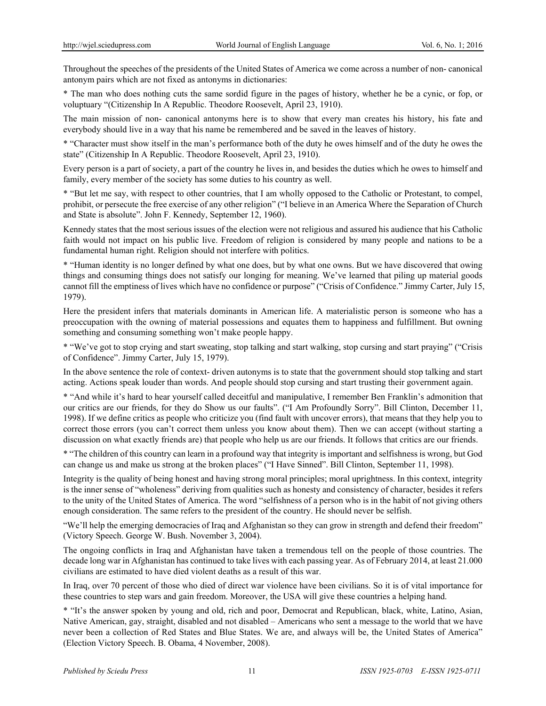Throughout the speeches of the presidents of the United States of America we come across a number of non- canonical antonym pairs which are not fixed as antonyms in dictionaries:

\* The man who does nothing cuts the same sordid figure in the pages of history, whether he be a cynic, or fop, or voluptuary "(Citizenship In A Republic. Theodore Roosevelt, April 23, 1910).

The main mission of non- canonical antonyms here is to show that every man creates his history, his fate and everybody should live in a way that his name be remembered and be saved in the leaves of history.

\* "Character must show itself in the man's performance both of the duty he owes himself and of the duty he owes the state" (Citizenship In A Republic. Theodore Roosevelt, April 23, 1910).

Every person is a part of society, a part of the country he lives in, and besides the duties which he owes to himself and family, every member of the society has some duties to his country as well.

\* "But let me say, with respect to other countries, that I am wholly opposed to the Catholic or Protestant, to compel, prohibit, or persecute the free exercise of any other religion" ("I believe in an America Where the Separation of Church and State is absolute". John F. Kennedy, September 12, 1960).

Kennedy states that the most serious issues of the election were not religious and assured his audience that his Catholic faith would not impact on his public live. Freedom of religion is considered by many people and nations to be a fundamental human right. Religion should not interfere with politics.

\* "Human identity is no longer defined by what one does, but by what one owns. But we have discovered that owing things and consuming things does not satisfy our longing for meaning. We've learned that piling up material goods cannot fill the emptiness of lives which have no confidence or purpose" ("Crisis of Confidence." Jimmy Carter, July 15, 1979).

Here the president infers that materials dominants in American life. A materialistic person is someone who has a preoccupation with the owning of material possessions and equates them to happiness and fulfillment. But owning something and consuming something won't make people happy.

\* "We've got to stop crying and start sweating, stop talking and start walking, stop cursing and start praying" ("Crisis of Confidence". Jimmy Carter, July 15, 1979).

In the above sentence the role of context- driven autonyms is to state that the government should stop talking and start acting. Actions speak louder than words. And people should stop cursing and start trusting their government again.

\* "And while it's hard to hear yourself called deceitful and manipulative, I remember Ben Franklin's admonition that our critics are our friends, for they do Show us our faults". ("I Am Profoundly Sorry". Bill Clinton, December 11, 1998). If we define critics as people who criticize you (find fault with uncover errors), that means that they help you to correct those errors (you can't correct them unless you know about them). Then we can accept (without starting a discussion on what exactly friends are) that people who help us are our friends. It follows that critics are our friends.

\* "The children of this country can learn in a profound way that integrity is important and selfishness is wrong, but God can change us and make us strong at the broken places" ("I Have Sinned". Bill Clinton, September 11, 1998).

Integrity is the quality of being honest and having strong moral principles; moral uprightness. In this context, integrity is the inner sense of "wholeness" deriving from qualities such as honesty and consistency of character, besides it refers to the unity of the United States of America. The word "selfishness of a person who is in the habit of not giving others enough consideration. The same refers to the president of the country. He should never be selfish.

"We'll help the emerging democracies of Iraq and Afghanistan so they can grow in strength and defend their freedom" (Victory Speech. George W. Bush. November 3, 2004).

The ongoing conflicts in Iraq and Afghanistan have taken a tremendous tell on the people of those countries. The decade long war in Afghanistan has continued to take lives with each passing year. As of February 2014, at least 21.000 civilians are estimated to have died violent deaths as a result of this war.

In Iraq, over 70 percent of those who died of direct war violence have been civilians. So it is of vital importance for these countries to step wars and gain freedom. Moreover, the USA will give these countries a helping hand.

\* "It's the answer spoken by young and old, rich and poor, Democrat and Republican, black, white, Latino, Asian, Native American, gay, straight, disabled and not disabled – Americans who sent a message to the world that we have never been a collection of Red States and Blue States. We are, and always will be, the United States of America" (Election Victory Speech. B. Obama, 4 November, 2008).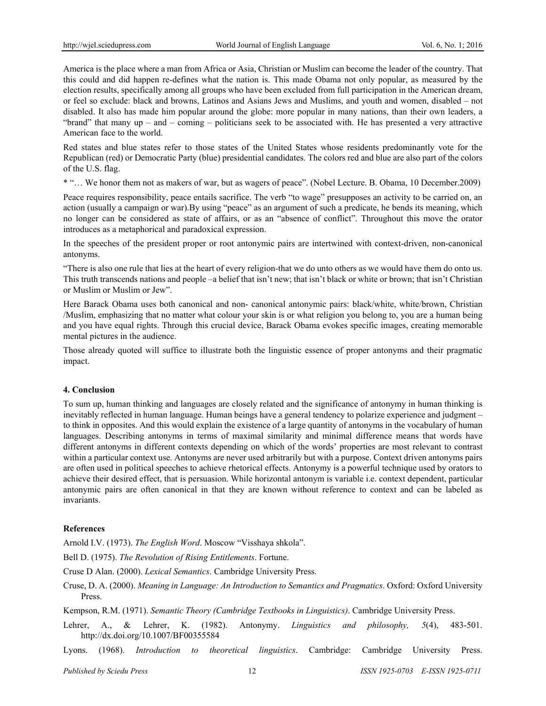America is the place where a man from Africa or Asia, Christian or Muslim can become the leader of the country. That this could and did happen re-defines what the nation is. This made Obama not only popular, as measured by the election results, specifically among all groups who have been excluded from full participation in the American dream, or feel so exclude: black and browns, Latinos and Asians Jews and Muslims, and youth and women, disabled – not disabled. It also has made him popular around the globe: more popular in many nations, than their own leaders, a "brand" that many  $up - and - coming - politicians seek to be associated with. He has presented a very attractive$ American face to the world.

Red states and blue states refer to those states of the United States whose residents predominantly vote for the Republican (red) or Democratic Party (blue) presidential candidates. The colors red and blue are also part of the colors of the U.S. flag.

\* "… We honor them not as makers of war, but as wagers of peace". (Nobel Lecture. B. Obama, 10 December.2009)

Peace requires responsibility, peace entails sacrifice. The verb "to wage" presupposes an activity to be carried on, an action (usually a campaign or war).By using "peace" as an argument of such a predicate, he bends its meaning, which no longer can be considered as state of affairs, or as an "absence of conflict". Throughout this move the orator introduces as a metaphorical and paradoxical expression.

In the speeches of the president proper or root antonymic pairs are intertwined with context-driven, non-canonical antonyms.

"There is also one rule that lies at the heart of every religion-that we do unto others as we would have them do onto us. This truth transcends nations and people –a belief that isn't new; that isn't black or white or brown; that isn't Christian or Muslim or Muslim or Jew".

Here Barack Obama uses both canonical and non- canonical antonymic pairs: black/white, white/brown, Christian /Muslim, emphasizing that no matter what colour your skin is or what religion you belong to, you are a human being and you have equal rights. Through this crucial device, Barack Obama evokes specific images, creating memorable mental pictures in the audience.

Those already quoted will suffice to illustrate both the linguistic essence of proper antonyms and their pragmatic impact.

## **4. Conclusion**

To sum up, human thinking and languages are closely related and the significance of antonymy in human thinking is inevitably reflected in human language. Human beings have a general tendency to polarize experience and judgment – to think in opposites. And this would explain the existence of a large quantity of antonyms in the vocabulary of human languages. Describing antonyms in terms of maximal similarity and minimal difference means that words have different antonyms in different contexts depending on which of the words' properties are most relevant to contrast within a particular context use. Antonyms are never used arbitrarily but with a purpose. Context driven antonyms pairs are often used in political speeches to achieve rhetorical effects. Antonymy is a powerful technique used by orators to achieve their desired effect, that is persuasion. While horizontal antonym is variable i.e. context dependent, particular antonymic pairs are often canonical in that they are known without reference to context and can be labeled as invariants.

## **References**

Arnold I.V. (1973). *The English Word*. Moscow "Visshaya shkola".

Bell D. (1975). *The Revolution of Rising Entitlements*. Fortune.

Cruse D Alan. (2000). *Lexical Semantics*. Cambridge University Press.

Cruse, D. A. (2000). *Meaning in Language: An Introduction to Semantics and Pragmatics*. Oxford: Oxford University Press.

Kempson, R.M. (1971). *Semantic Theory (Cambridge Textbooks in Linguistics)*. Cambridge University Press.

- Lehrer, A., & Lehrer, K. (1982). Antonymy. *Linguistics and philosophy, 5*(4), 483-501. http://dx.doi.org/10.1007/BF00355584
- Lyons. (1968). *Introduction to theoretical linguistics*. Cambridge: Cambridge University Press.